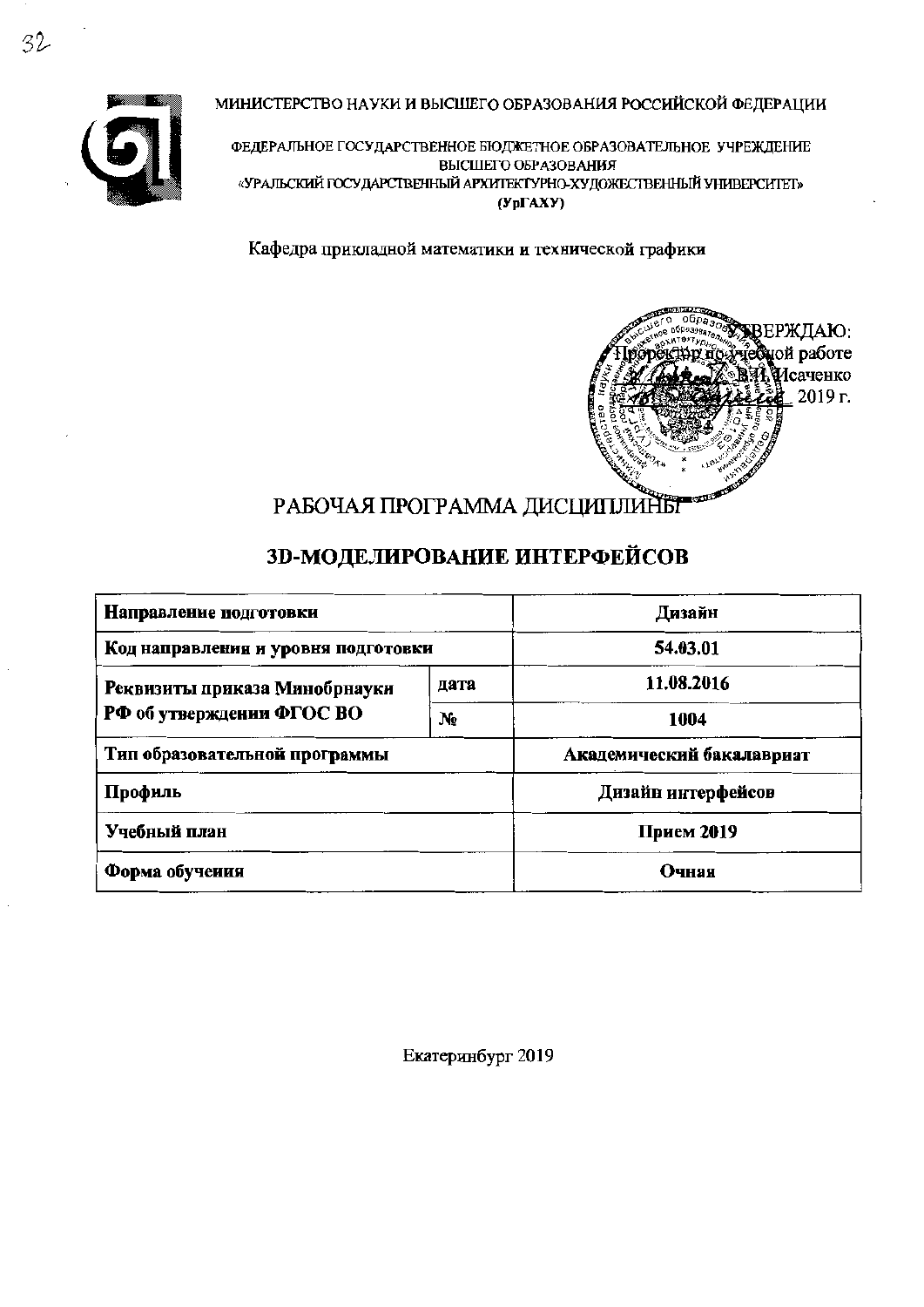



ФЕДЕРАЛЬНОЕ ГОСУДАРСТВЕННОЕ БЮДЖЕТНОЕ ОБРАЗОВАТЕЛЬНОЕ УЧРЕЖДЕНИЕ ВЫСШЕГО ОБРАЗОВАНИЯ «УРАЛЬСКИЙ ГОСУДАРСТВЕННЫЙ АРХИТЕКТУРНО-ХУДОЖЕСТВЕННЫЙ УНИВЕРСИТЕТ»  $(Yp\Gamma A X Y)$ 

Кафедра прикладной математики и технической графики



# РАБОЧАЯ ПРОГРАММА ДИСЦИПЛИНЫ

# 3D-МОДЕЛИРОВАНИЕ ИНТЕРФЕЙСОВ

| Направление подготовки              | Дизайн                    |                    |  |
|-------------------------------------|---------------------------|--------------------|--|
| Код направления и уровня подготовки | 54.03.01                  |                    |  |
| Реквизиты приказа Минобрнауки       | дата                      | 11.08.2016         |  |
| РФ об утверждении ФГОС ВО           | $N_2$                     | 1004               |  |
| Тип образовательной программы       | Академический бакалавриат |                    |  |
| Профиль                             |                           | Дизайн интерфейсов |  |
| Учебный план                        | Прием 2019                |                    |  |
| Форма обучения                      | Очная                     |                    |  |

Екатеринбург 2019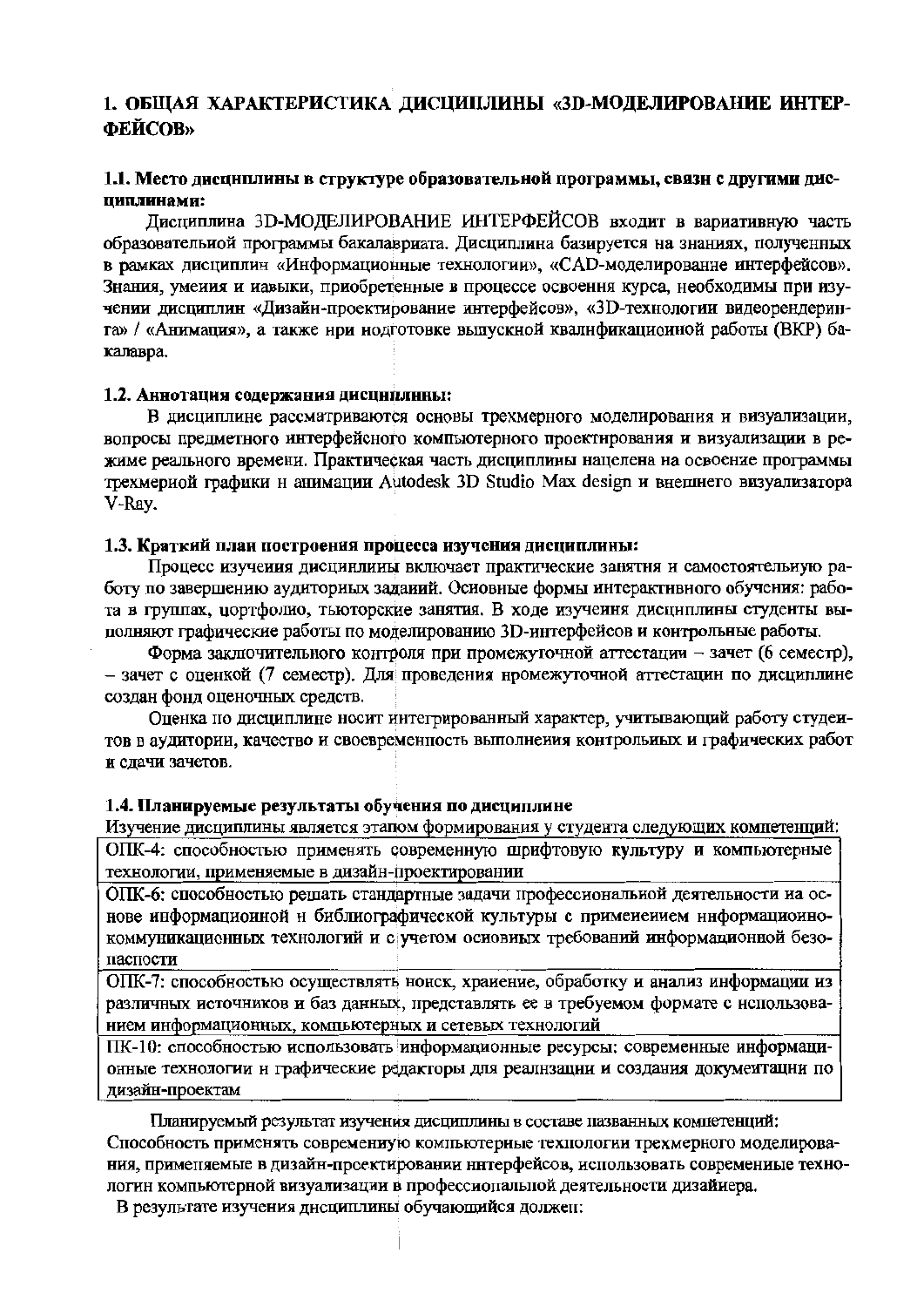## 1. ОБЩАЯ ХАРАКТЕРИСТИКА ДИСЦИПЛИНЫ «ЗD-МОДЕЛИРОВАНИЕ ИНТЕР-ФЕЙСОВ»

#### 1.1. Место дисциплины в структуре образовательной программы, связи с другими дисииплинами:

Лисциплина 3D-МОДЕЛИРОВАНИЕ ИНТЕРФЕЙСОВ входит в вариативную часть образовательной программы бакалавриата. Дисциплина базируется на знаниях, полученных в рамках дисциплин «Информационные технологии», «САD-моделированне интерфейсов». Знания, умения и иавыки, приобретенные в процессе освоення курса, необходимы при изучении дисциплин «Дизайн-проектирование интерфейсов», «3D-технологии видеорендеринга» / «Анимация», а также нри нодготовке выпускной квалификационной работы (ВКР) бакалавра.

#### 1.2. Аннотация содержания дисциплины:

В дисциплине рассматриваются основы трехмерного моделирования и визуализации, вопросы предметного интерфейсного компьютерного проектирования и визуализации в режиме реального времени. Практическая часть дисциплины нацелена на освоение программы трехмериой графики и анимации Autodesk 3D Studio Max design и внешнего визуализатора V-Ray.

#### 1.3. Краткий план построения процесса изучения дисциплины:

Процесс изучения дисцинлины включает практические занятня и самостоятельную работу по завершению аудиториых заданий. Основные формы интерактнвного обучения: работа в группах, цортфолио, тьюторские занятия. В ходе изучення дисциплины студенты выполняют графические работы по моделированию 3D-интерфейсов и контрольные работы.

Форма заключительного контроля при промежуточной аттестации - зачет (6 семестр), - зачет с оценкой (7 семестр). Для проведения нромежуточной аттестации по дисциплине создан фонд оценочных средств.

Оценка по дисциплине носит интегрированный характер, учитывающий работу студеитов в аудитории, качество и своевременность выполнения контрольных и графических работ и сдачи зачетов.

#### 1.4. Планируемые результаты обучения по дисциплине

Изучение дисциплины является этапом формирования у студента следующих компетенций: ОПК-4: способностью применять современную шрифтовую культуру и компьютерные технологии, применяемые в дизайн-проектировании

ОПК-6: способностью решать стандартные задачи профессиональной деятельности на основе информациоиной н библиографической культуры с применением ннформациоинокоммуникационных технологий и с учетом основных требований информационной безопасности

ОПК-7: способностью осуществлять нонск, хранение, обработку и анализ информации из различных источников и баз данных, представлять ее в требуемом формате с использованием информационных, компьютерных и сетевых технологий

ПК-10: способностью использовать информационные ресурсы: современные информационные технологии и графические редакторы для реализации и создания докумеитации по дизайн-проектам

Планируемый результат изучения дисциплины в составе пазванных компетенций: Способность применять современиую компьютерные техпологии трехмерного моделирования, применяемые в дизайн-проектировании нитерфейсов, использовать современиые технологин компьютерной визуализации в профессиональной деятельности дизайиера.

В результате изучения дисциплины обучающийся должен: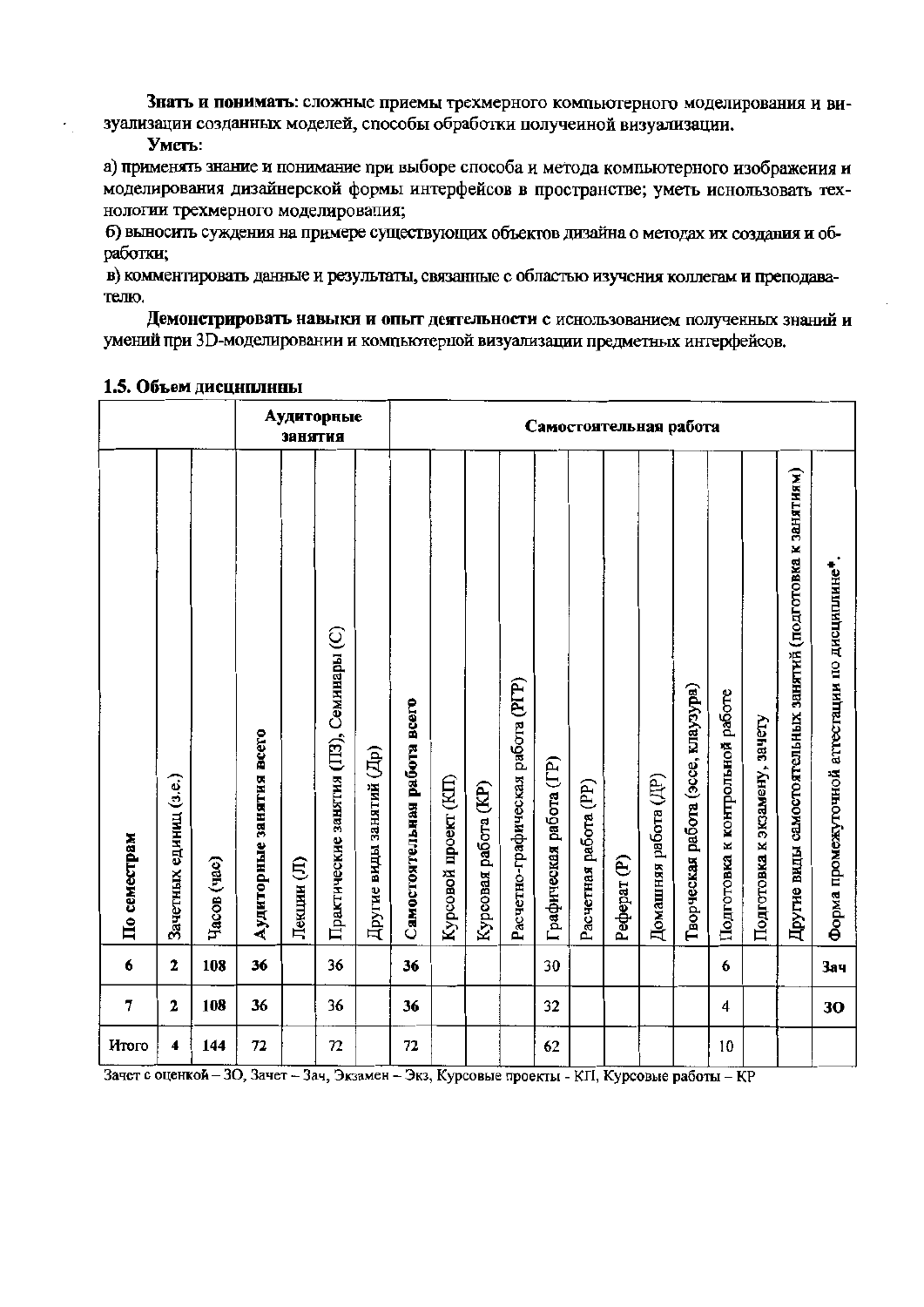Знать и понимать: сложные приемы трехмерного компьютерного моделирования и визуализации созданных моделей, способы обработки полученной визуализации.

#### Уметь:

а) применять знание и понимание при выборе способа и метода компьютерного изображения и моделирования дизайнерской формы интерфейсов в пространстве; уметь иснользовать технологии трехмерного моделирования;

б) выносить суждения на примере существующих объектов дизайна о методах их создания и обработки;

в) комментировать данные и результаты, связанные с областью изучения коллегам и преподавателю.

Демонстрировать навыки и опыт деятельности с иснользованием полученных знаний и умений при 3D-моделировании и компьютерпой визуализации предметных интерфейсов.

|                |                        |             |                          | <b>ЗАНЯТИЯ</b> | Аудиторные                              |                          | Самостоятельная работа       |                      |                      |                                   |                         |                       |                        |                      |                                    |                                 |                               |                                                             |                                                |
|----------------|------------------------|-------------|--------------------------|----------------|-----------------------------------------|--------------------------|------------------------------|----------------------|----------------------|-----------------------------------|-------------------------|-----------------------|------------------------|----------------------|------------------------------------|---------------------------------|-------------------------------|-------------------------------------------------------------|------------------------------------------------|
| По семестрам   | Зачетных единиц (з.е.) | Часов (час) | Аудиторные занятия всего | Лекции (Л)     | Практические занятия (ПЗ), Семинары (С) | Другие виды занятий (Др) | Самостоятельная работа всего | Курсовой проект (КП) | Курсовая работа (KP) | Расчетно-графическая работа (РГР) | Графическая работа (ГР) | Расчетная работа (PP) | Pedepar <sub>(P)</sub> | Домашняя работа (ДР) | Творческая работа (эссе, клаузура) | Подготовка к контрольной работе | Подготовка к экзамену, зачету | Другие виды самостоятельных занятий (подготовка к занятиям) | Форма промежуточной аттестации по дисциплине*. |
| 6              | $\mathbf 2$            | 108         | 36                       |                | 36                                      |                          | 36                           |                      |                      |                                   | 30                      |                       |                        |                      |                                    | 6                               |                               |                                                             | <b>Зач</b>                                     |
| $\overline{7}$ | 2                      | 108         | 36                       |                | 36                                      |                          | 36                           |                      |                      |                                   | 32                      |                       |                        |                      |                                    | 4                               |                               |                                                             | 30                                             |
| Итого          | 4                      | 144         | 72                       |                | 72                                      |                          | 72                           |                      |                      |                                   | 62                      |                       |                        |                      |                                    | 10                              |                               |                                                             |                                                |

#### 1.5. Объем дисциплины

Зачет с оценкой - 30, Зачет - Зач, Экзамен - Экз, Курсовые проекты - КП, Курсовые работы - КР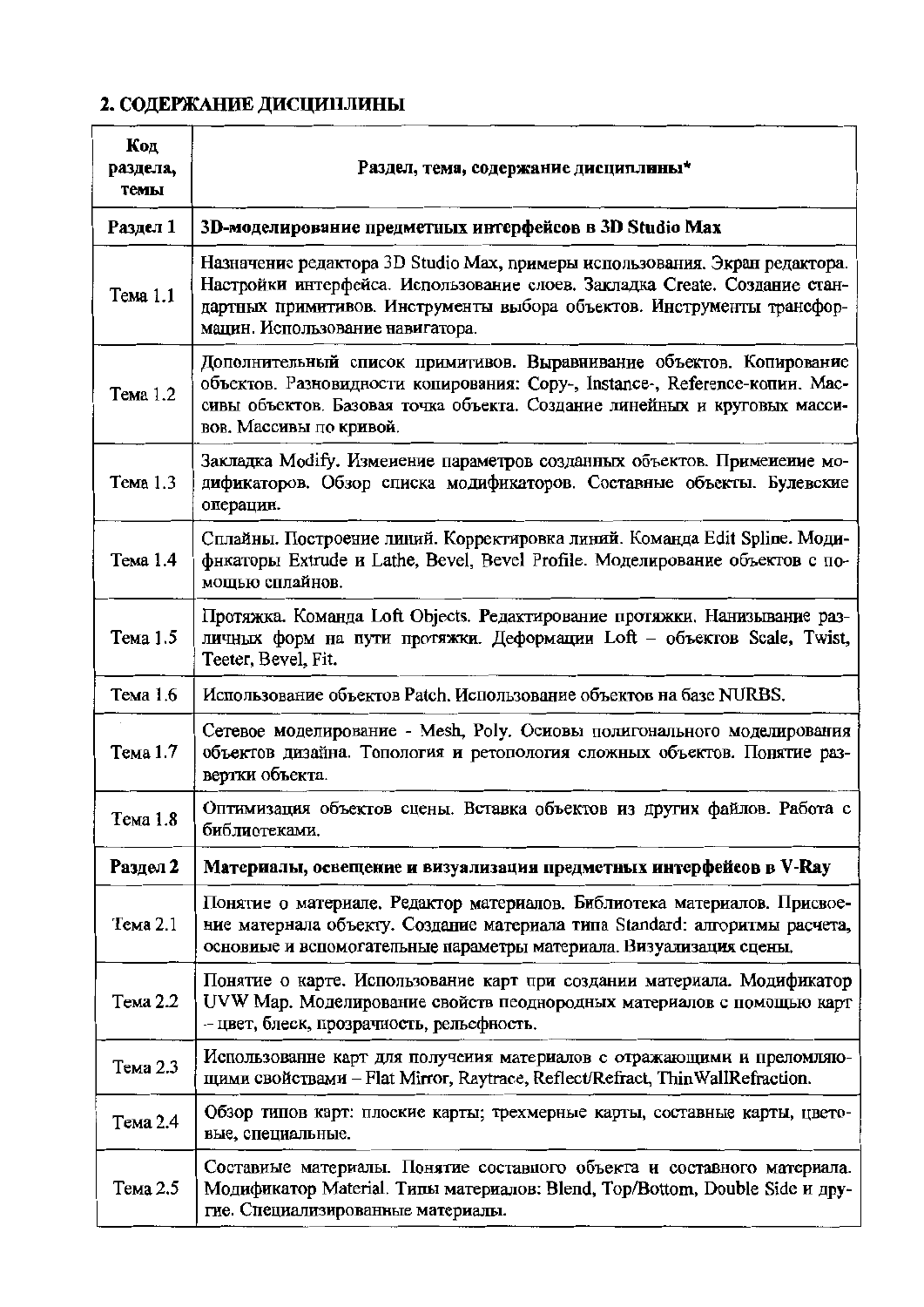# 2. СОДЕРЖАНИЕ ДИСЦИПЛИНЫ

| Код<br>раздела,<br>темы | Раздел, тема, содержание дисциплины*                                                                                                                                                                                                                                    |
|-------------------------|-------------------------------------------------------------------------------------------------------------------------------------------------------------------------------------------------------------------------------------------------------------------------|
| Раздел 1                | 3D-моделирование предметных интерфейсов в 3D Studio Max                                                                                                                                                                                                                 |
| Тема 1.1                | Назначение редактора 3D Studio Max, примеры использования. Экран редактора.<br>Настройки интерфейса. Использование слоев. Закладка Create. Создание стан-<br>дартных примитивов. Инструменты выбора объектов. Инструменты трансфор-<br>мацин. Использование навигатора. |
| Тема 1.2                | Дополнительный список примитивов. Выравнивание объектов. Копирование<br>объектов. Разновидности копирования: Сору-, Instance-, Reference-копии. Мас-<br>сивы объектов. Базовая точка объекта. Создание линейных и круговых масси-<br>вов. Массивы по кривой.            |
| Тема 1.3                | Закладка Modify. Изменение параметров созданных объектов. Применение мо-<br>дификаторов. Обзор списка модификаторов. Составные объекты. Булевские<br>операцин.                                                                                                          |
| Тема 1.4                | Сплайны. Построение линий. Корректировка линий. Команда Edit Spline. Моди-<br>фикаторы Extrude и Lathe, Bevel, Bevel Profile. Моделирование объектов с по-<br>мощью сплайнов.                                                                                           |
| Тема 1.5                | Протяжка. Команда Loft Objects. Редактирование протяжки. Нанизывание раз-<br>личных форм на пути протяжки. Деформации Loft - объектов Scale, Twist,<br>Teeter, Bevel, Fit.                                                                                              |
| Тема 1.6                | Использование объектов Patch. Использование объектов на базе NURBS.                                                                                                                                                                                                     |
| Тема 1.7                | Сетевое моделирование - Mesh, Poly. Осиовы полигонального моделирования<br>объектов дизайна. Топология и ретопология сложных объектов. Понятие раз-<br>вертки объекта.                                                                                                  |
| Тема 1.8                | Оптимизация объектов сцены. Вставка объектов из других файлов. Работа с<br>библиотеками.                                                                                                                                                                                |
| Раздел 2                | Материалы, освещение и визуализация предметных интерфейсов в V-Ray                                                                                                                                                                                                      |
| Тема 2.1                | Понятие о материале. Редактор материалов. Библиотека материалов. Присвое-<br>ние матернала объекту. Создание материала типа Standard: алгоритмы расчета,<br>основиые и вспомогательные параметры материала. Визуализация сцены.                                         |
| Тема 2.2                | Понятие о карте. Использование карт при создании материала. Модификатор<br>UVW Мар. Моделирование свойств пеоднородных материалов с помощью карт<br>- цвет, блеск, прозрачность, рельефность.                                                                           |
| Тема 2.3                | Использованне карт для получения материалов с отражающими и преломляю-<br>щими свойствами - Flat Mirror, Raytrace, Reflect/Refract, Thin WallRefraction.                                                                                                                |
| Тема 2.4                | Обзор типов карт: плоские карты; трехмерные карты, составные карты, цвето-<br>вые, специальные.                                                                                                                                                                         |
| Тема 2.5                | Составиые материалы. Понятие составного объекта и составного материала.<br>Модификатор Material. Типы материалов: Blend, Top/Bottom, Double Side и дру-<br>гие. Специализированные материалы.                                                                           |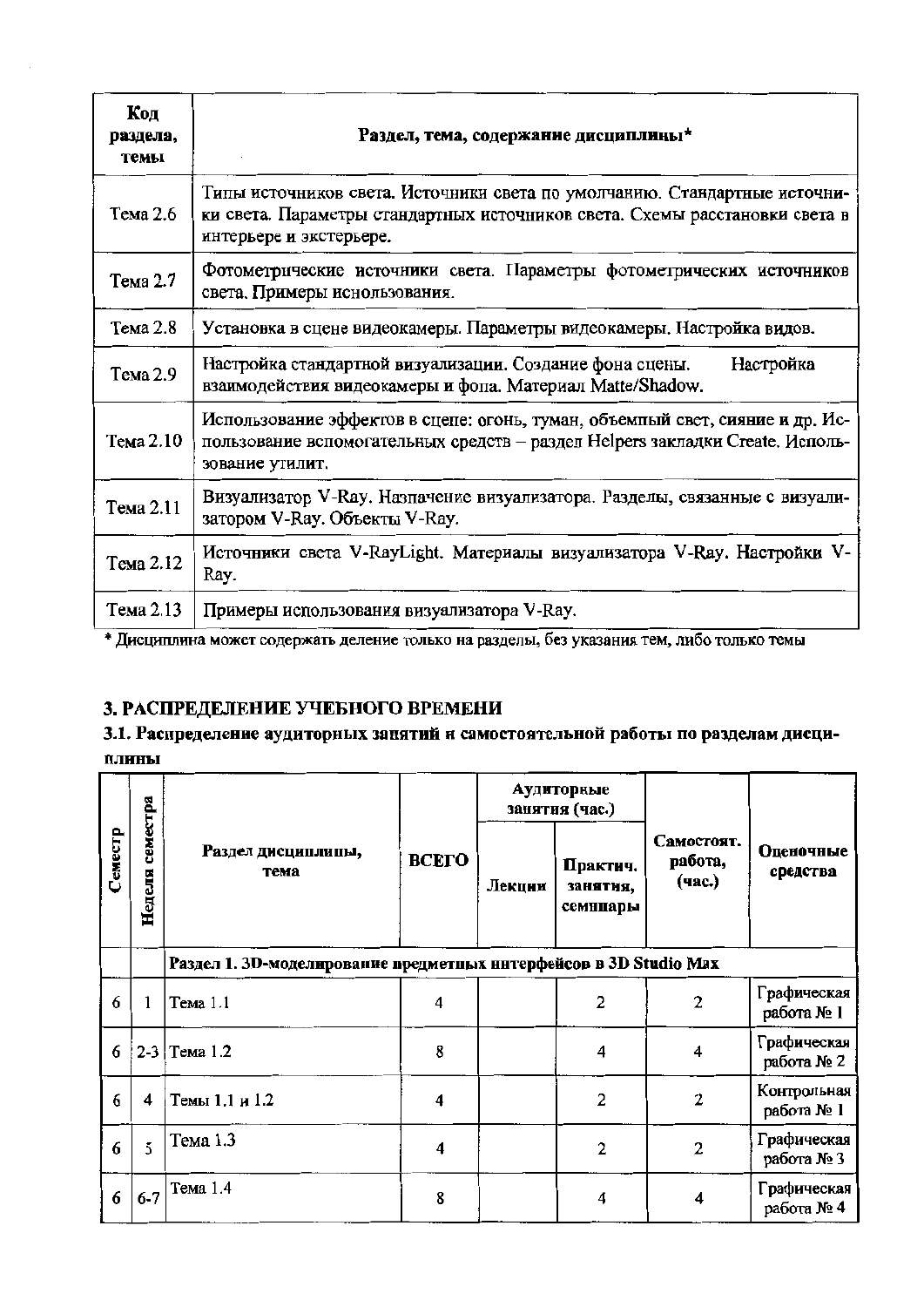| Код<br>раздела,<br>темы | Раздел, тема, содержание дисциплины*                                                                                                                                                |
|-------------------------|-------------------------------------------------------------------------------------------------------------------------------------------------------------------------------------|
| Тема 2.6                | Типы источников света. Источники света по умолчанию. Стандартные источни-<br>ки света. Параметры стандартных источников света. Схемы расстановки света в<br>интерьере и экстерьере. |
| Тема 2.7                | Фотометрические источники света. Параметры фотометрических источников<br>света. Примеры иснользования.                                                                              |
| Тема 2.8                | Установка в сцене видеокамеры. Параметры видеокамеры. Настройка видов.                                                                                                              |
| Тема 2.9                | Настройка стандартной визуализации. Создание фона сцены.<br>Настройка<br>взаимодействия видеокамеры и фопа. Материал Matte/Shadow.                                                  |
| Тема 2.10               | Использование эффектов в сцепе: огонь, туман, объемпый свет, сияние и др. Ис-<br>пользование вспомогательных средств - раздел Helpers закладки Create. Исполь-<br>зование утилит.   |
| Тема 2.11               | Визуализатор V-Ray. Назпачение визуализатора. Разделы, связанные с визуали-<br>затором V-Ray. Объекты V-Ray.                                                                        |
| Тема 2.12               | Источники света V-RayLight. Материалы визуализатора V-Ray. Настройки V-<br>Ray.                                                                                                     |
| Тема 2.13               | Примеры использования визуализатора V-Ray.                                                                                                                                          |

\* Дисциплина может содержать деление только на разделы, без указания тем, либо только темы

## 3. РАСПРЕДЕЛЕНИЕ УЧЕБНОГО ВРЕМЕНИ

## 3.1. Распределение аудиторных занятий и самостоятельной работы по разделам дисци-ПЛИНЫ

|         |                    |                                                                   |              |        | Аудиторные<br>занятия (час.)     |                                 |                           |  |  |  |  |
|---------|--------------------|-------------------------------------------------------------------|--------------|--------|----------------------------------|---------------------------------|---------------------------|--|--|--|--|
| Семестр | семестра<br>Неделя | Раздел дисциплипы,<br>тема                                        | <b>BCETO</b> | Лекции | Практич.<br>занятия,<br>семниары | Самостоят.<br>работа,<br>(час.) | Оценочные<br>средства     |  |  |  |  |
|         |                    | Раздел 1. 3D-моделирование предметных нитерфейсов в 3D Studio Max |              |        |                                  |                                 |                           |  |  |  |  |
| 6       |                    | Тема 1.1                                                          | 4            |        | $\overline{2}$                   | 2                               | Графическая<br>работа № 1 |  |  |  |  |
| 6       |                    | 2-3   Тема 1.2                                                    | 8            |        | 4                                | 4                               | Графическая<br>работа № 2 |  |  |  |  |
| 6       | 4                  | Темы 1.1 и 1.2                                                    | 4            |        | 2                                | 2                               | Контрольная<br>работа № 1 |  |  |  |  |
| 6       | 5                  | Тема 1.3                                                          | 4            |        | $\overline{2}$                   | 2                               | Графическая<br>работа № 3 |  |  |  |  |
| 6       | $6 - 7$            | Тема 1.4                                                          | 8            |        | 4                                | 4                               | Графическая<br>работа № 4 |  |  |  |  |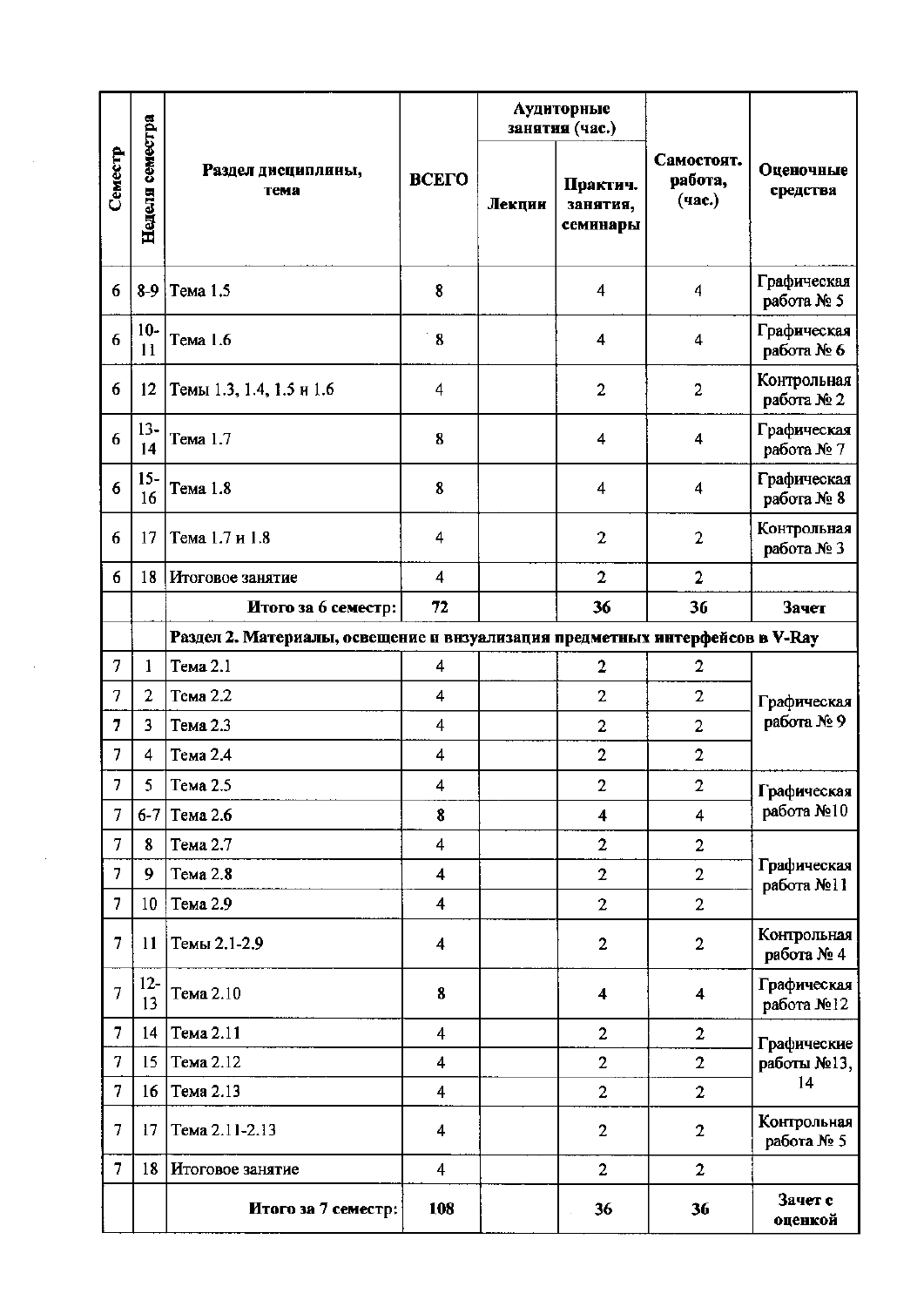|                |                  |                                                                              |                         | Аудиторные<br>занятия (час.) |                                  |                                 |                           |  |  |  |  |  |  |  |
|----------------|------------------|------------------------------------------------------------------------------|-------------------------|------------------------------|----------------------------------|---------------------------------|---------------------------|--|--|--|--|--|--|--|
| Семестр        | Неделя семестра  | Раздел дисциплины,<br>тема                                                   | ВСЕГО                   | Лекции                       | Практич.<br>занятия,<br>семинары | Самостоят.<br>работа,<br>(час.) | Оценочные<br>средства     |  |  |  |  |  |  |  |
| 6              | $8-9$            | Тема 1.5                                                                     | 8                       |                              | 4                                | 4                               | Графическая<br>работа № 5 |  |  |  |  |  |  |  |
| 6              | $10-$<br>11      | Тема 1.6                                                                     | 8                       |                              | 4                                | 4                               | Графическая<br>работа № 6 |  |  |  |  |  |  |  |
| 6              | 12               | Темы 1.3, 1.4, 1.5 и 1.6                                                     | 4                       |                              | 2                                | $\overline{2}$                  | Контрольная<br>работа № 2 |  |  |  |  |  |  |  |
| 6              | $13 -$<br>14     | Тема 1.7                                                                     | 8                       |                              | 4                                | 4                               | Графическая<br>работа № 7 |  |  |  |  |  |  |  |
| 6              | $15 -$<br>16     | Тема 1.8                                                                     | 8                       |                              | 4                                | 4                               | Графическая<br>работа № 8 |  |  |  |  |  |  |  |
| 6              | 17               | Тема 1.7 и 1.8                                                               | 4                       |                              | $\overline{2}$                   | $\overline{2}$                  | Контрольная<br>работа № 3 |  |  |  |  |  |  |  |
| 6              | 18               | Итоговое занятие                                                             | 4                       |                              | $\overline{2}$                   | $\overline{2}$                  |                           |  |  |  |  |  |  |  |
|                |                  | Итого за 6 семестр:                                                          | 72                      |                              | 36                               | 36                              | Зачет                     |  |  |  |  |  |  |  |
|                |                  | Раздел 2. Материалы, освещение и внзуализация предметных интерфейсов в V-Ray |                         |                              |                                  |                                 |                           |  |  |  |  |  |  |  |
| 7              | 1                | Тема 2.1                                                                     | 4                       |                              | $\overline{2}$                   | $\overline{2}$                  |                           |  |  |  |  |  |  |  |
| $\overline{7}$ | $\overline{2}$   | Тема 2.2                                                                     | 4                       |                              | $\overline{2}$                   | $\overline{2}$                  | Графическая<br>работа №9  |  |  |  |  |  |  |  |
| 7              | 3                | Тема 2.3                                                                     | 4                       |                              | 2                                | $\overline{c}$                  |                           |  |  |  |  |  |  |  |
| 7              | 4                | Тема 2.4                                                                     | 4                       |                              | $\overline{\mathbf{c}}$          | $\overline{2}$                  |                           |  |  |  |  |  |  |  |
| 7              | 5                | Тема 2.5                                                                     | 4                       |                              | $\overline{2}$                   | $\overline{2}$                  | Графическая               |  |  |  |  |  |  |  |
| 7              |                  | 6-7   Тема 2.6                                                               | 8                       |                              | $\overline{\mathbf{4}}$          | $\overline{4}$                  | работа №10                |  |  |  |  |  |  |  |
| 7              | 8                | Тема 2.7                                                                     | 4                       |                              | $\overline{2}$                   | $\overline{2}$                  |                           |  |  |  |  |  |  |  |
| 7              | $\boldsymbol{9}$ | Тема 2.8                                                                     | $\overline{\mathbf{4}}$ |                              | $\overline{2}$                   | $\overline{2}$                  | Графическая<br>работа №11 |  |  |  |  |  |  |  |
| $\overline{7}$ | 10               | Тема 2.9                                                                     | $\overline{\mathbf{4}}$ |                              | $\overline{2}$                   | $\overline{2}$                  |                           |  |  |  |  |  |  |  |
| 7              | $\mathbf{11}$    | Темы 2.1-2.9                                                                 | 4                       |                              | $\overline{c}$                   | $\overline{2}$                  | Контрольная<br>работа № 4 |  |  |  |  |  |  |  |
| $\overline{7}$ | $12 -$<br>13     | Тема 2.10                                                                    | 8                       |                              | $\overline{\mathbf{4}}$          | $\overline{\mathbf{4}}$         | Графическая<br>работа №12 |  |  |  |  |  |  |  |
| $\overline{7}$ | 14               | Тема 2.11                                                                    | 4                       |                              | $\overline{c}$                   | $\overline{2}$                  | Графические               |  |  |  |  |  |  |  |
| $\tau$         | 15               | Тема 2.12                                                                    | 4                       |                              | $\overline{2}$                   | $\overline{2}$                  | работы №13,               |  |  |  |  |  |  |  |
| 7              | 16               | Тема 2.13                                                                    | 4                       |                              | $\overline{2}$                   | $\overline{2}$                  | 14                        |  |  |  |  |  |  |  |
| 7              | 17               | Тема 2.11-2.13                                                               | 4                       |                              | $\overline{c}$                   | $\overline{2}$                  | Контрольная<br>работа № 5 |  |  |  |  |  |  |  |
| 7              | 18               | Итоговое занятие                                                             | 4                       |                              | $\overline{2}$                   | $\overline{2}$                  |                           |  |  |  |  |  |  |  |
|                |                  | Итого за 7 семестр:                                                          | 108                     |                              | 36                               | 36                              | Зачет с<br>оценкой        |  |  |  |  |  |  |  |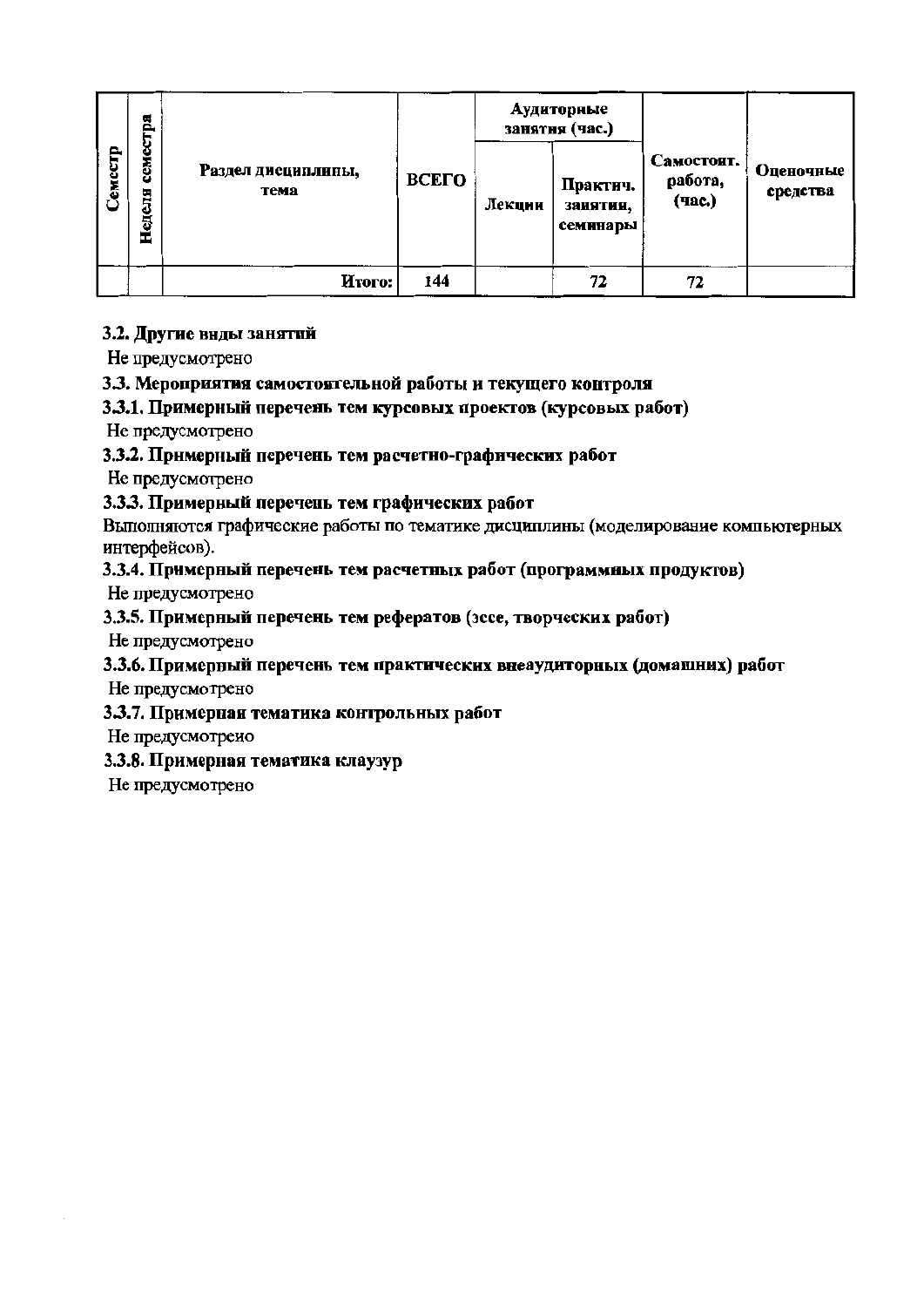|         | стра               |                            | ВСЕГО |        | Аудиторные<br>занятня (час.)     |                                 |                       |
|---------|--------------------|----------------------------|-------|--------|----------------------------------|---------------------------------|-----------------------|
| Семестр | Ф<br>CEM<br>Неделя | Раздел дисциплины,<br>тема |       | Лекции | Практич.<br>занятия,<br>семинары | Самостоят.<br>работа,<br>(час.) | Оценочные<br>средства |
|         |                    | Итого:                     | 144   |        | 72                               | 72                              |                       |

## 3.2. Другие внды занятий

Не предусмотрено

## 3.3. Мероприятия самостоятельной работы и текущего контроля

## 3.3.1. Примерный перечень тем курсовых проектов (курсовых работ)

Не предусмотрено

## 3.3.2. Примерный перечень тем расчетно-графических работ

Не предусмотрено

## 3.3.3. Примерный перечень тем графических работ

Выполняются графические работы по тематике дисциплины (моделирование компьютерных интерфейсов).

## 3.3.4. Примерный перечень тем расчетных работ (программных продуктов)

Не предусмотрено

## 3.3.5. Примерный перечень тем рефератов (эссе, творческих работ)

Не предусмотрено

## 3.3.6. Примерный перечень тем практических внеаудиторных (домашних) работ

Не предусмотрено

## 3.3.7. Примерная тематика контрольных работ

Не предусмотрено

## 3.3.8. Примерная тематика клаузур

Не предусмотрено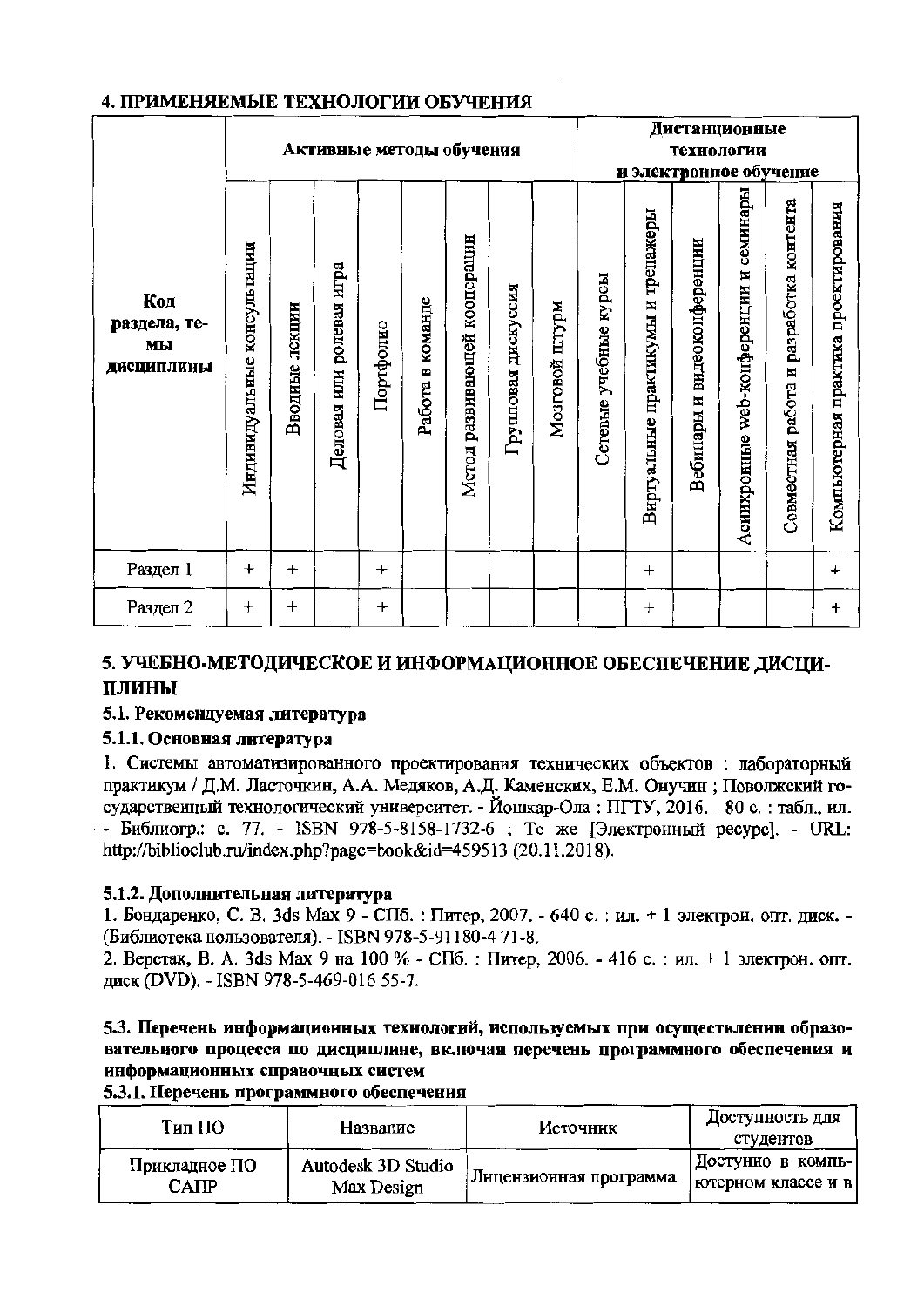|                                         |                                |                | Активные методы обучения |           |                  | Дистанционные<br>технологии<br>и электронное обучение |                        |                |                       |                                    |                                |                                        |                                            |                                      |
|-----------------------------------------|--------------------------------|----------------|--------------------------|-----------|------------------|-------------------------------------------------------|------------------------|----------------|-----------------------|------------------------------------|--------------------------------|----------------------------------------|--------------------------------------------|--------------------------------------|
| Код<br>раздела, те-<br>MЫ<br>Дисциплины | консультации<br>Индивидуальные | Вводные лекции | Деловая или ролевая игра | Портфолно | Работа в команде | развивающей кооперацин<br>Метод                       | дискуссия<br>Групповая | Мозговой штурм | Сетевые учебные курсы | Виртуальные практикумы и тренажеры | видеоконференции<br>Вебинары и | Асиихронные web-конференции и семинары | разработка контента<br>Совместная работа и | Компьютерная практика проектирования |
| Раздел 1                                | $\ddag$                        | $\ddot{}$      |                          | $\ddot{}$ |                  |                                                       |                        |                |                       | $\pm$                              |                                |                                        |                                            | $\ddot{}$                            |
| Раздел 2                                | $\pm$                          | $\,{}^+$       |                          | $\bm{+}$  |                  |                                                       |                        |                |                       | $^{+}$                             |                                |                                        |                                            | $\ddagger$                           |

## 4. ПРИМЕНЯЕМЫЕ ТЕХНОЛОГИИ ОБУЧЕНИЯ

## 5. УЧЕБНО-МЕТОДИЧЕСКОЕ И ИНФОРМАЦИОННОЕ ОБЕСПЕЧЕНИЕ ДИСЦИ-ПЛИНЫ

## 5.1. Рекомендуемая литература

## 5.1.1. Основная литература

1. Системы автоматизированного проектирования технических объектов: лабораторный практикум / Д.М. Ласточкин, А.А. Медяков, А.Д. Каменских, Е.М. Онучин; Поволжский государственный технологический университет. - Йошкар-Ола: ПГТУ, 2016. - 80 с.: табл., ил. - Библиогр.: с. 77. - ISBN 978-5-8158-1732-6 ; То же [Электронный ресурс]. - URL: http://biblioclub.ru/index.php?page=book&id=459513 (20.11.2018).

## 5.1.2. Дополнительная литература

1. Бондаренко, С. В. 3ds Мах 9 - СПб. : Питер, 2007. - 640 с. : ил. + 1 электрон. опт. диск. -(Библиотека пользователя). - ISBN 978-5-91180-4 71-8.

2. Верстак, В. А. 3ds Мах 9 на 100 % - СПб. : Питер, 2006. - 416 с. : ил. + 1 электрон. опт. диск (DVD). - ISBN 978-5-469-016 55-7.

## 5.3. Перечень информационных технологий, используемых при осуществленни образовательного процесса по дисциплине, включая перечень программного обеспечения и информационных справочных систем

## 5.3.1. Перечень программного обеспечення

| Тип ПО        | Название           | Источник                 | Доступность для<br>студентов |
|---------------|--------------------|--------------------------|------------------------------|
| Прикладное ПО | Autodesk 3D Studio | : Лицензионная программа | Достунно в компь-            |
| CAIIP         | Max Design         |                          | ютерном классе и в           |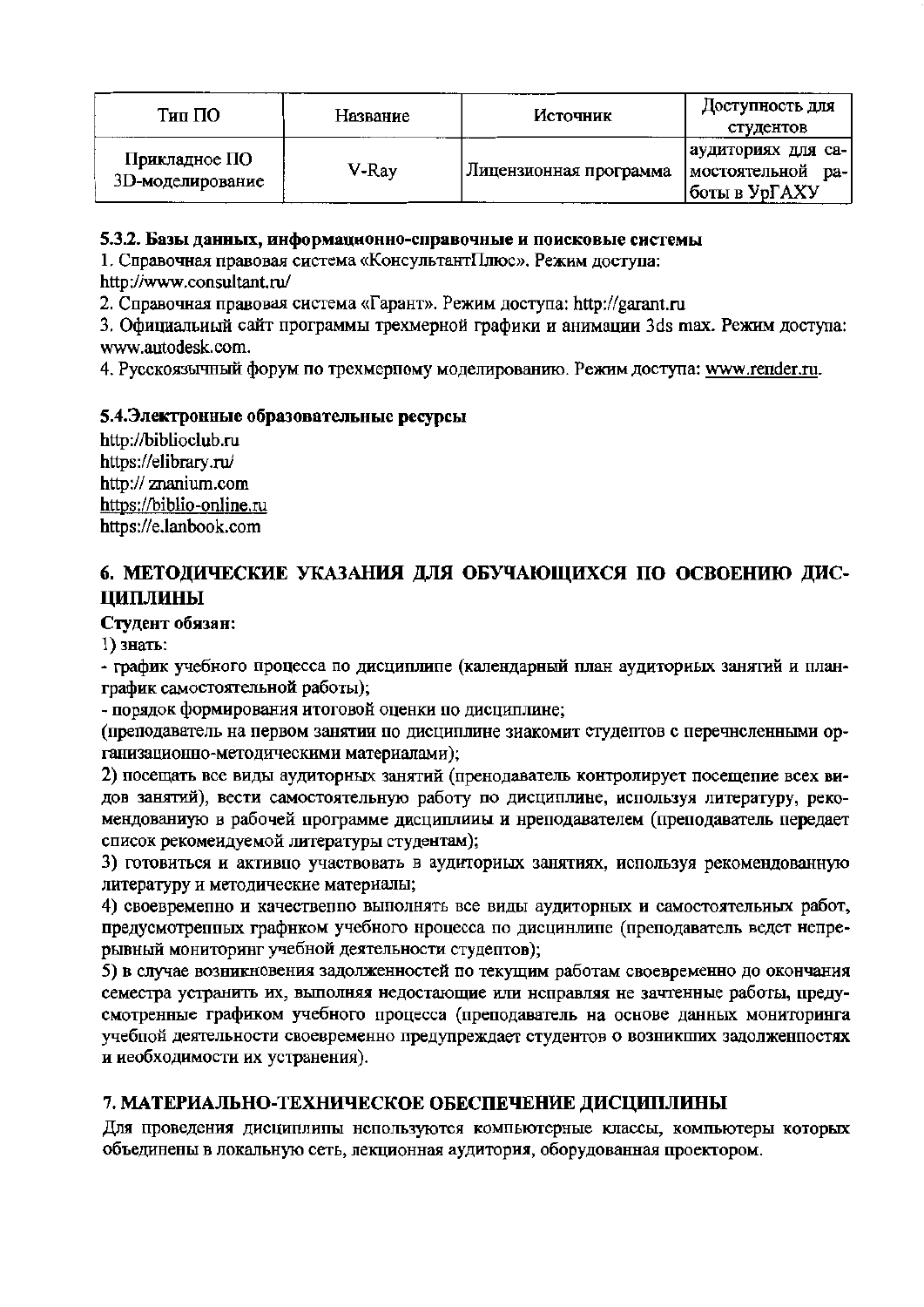| Тип ПО                            | Название | Источник               | Доступность для<br>студентов                              |
|-----------------------------------|----------|------------------------|-----------------------------------------------------------|
| Прикладное ПО<br>3D-моделирование | V-Ray    | Лицензионная программа | аудиториях для са-<br>мостоятельной ра-<br> боты в УрГАХУ |

#### 5.3.2. Базы данных, информационно-справочные и поисковые системы

1. Справочная правовая система «КонсультантПлюс». Режим доступа:

http://www.consultant.ru/

2. Справочная правовая система «Гарант». Режим доступа: http://garant.ru

3. Официальный сайт программы трехмерной графики и анимации 3ds max. Режим доступа: www.autodesk.com.

4. Русскоязычный форум по трехмерпому моделированию. Режим доступа: www.render.ru.

### 5.4. Электронные образовательные ресурсы

http://biblioclub.ru https://elibrary.ru/ http:// znanium.com https://biblio-online.ru https://e.lanbook.com

## 6. МЕТОДИЧЕСКИЕ УКАЗАНИЯ ДЛЯ ОБУЧАЮЩИХСЯ ПО ОСВОЕНИЮ ДИС-ЦИПЛИНЫ

#### Студент обязан:

1) знать:

- график учебного процесса по дисциплипе (календарный план аудиториых занятий и планграфик самостоятельной работы);

- порядок формирования итоговой оценки по дисциплине;

(преподаватель на первом занятии по дисциплине зиакомит студептов с перечноленными организационно-методическими материалами);

2) посещать все виды аудиторных занятий (пренодаватель контролирует посещение всех видов занятий), вести самостоятельную работу по дисциплине, используя литературу, рекомендованиую в рабочей программе дисциплины и нреподавателем (преподаватель передает список рекомендуемой литературы студентам);

3) готовиться и активно участвовать в аудиториых занятиях, используя рекомендованную литературу и методические материалы;

4) своевременно и качественно выполнять все виды аудиторных и самостоятельных работ, предусмотрепных графнком учебного нроцесса по дисцинлипе (преподаватель ведет непрерывный мониторинг учебной деятельности студептов);

5) в случае возникновения задолженностей по текущим работам своевременно до окончания семестра устранить их, выполняя недостающие или неправляя не зачтенные работы, предусмотренные графиком учебного процесса (преподаватель на основе данных мониторинга учебной деятельности своевременно предупреждает студентов о возникших задолженностях и иеобходимости их устранения).

## 7. МАТЕРИАЛЬНО-ТЕХНИЧЕСКОЕ ОБЕСПЕЧЕНИЕ ДИСЦИПЛИНЫ

Для проведения дисциплины нспользуются компьютерные классы, компьютеры которых объединены в локальную сеть, лекционная аудитория, оборудованная проектором.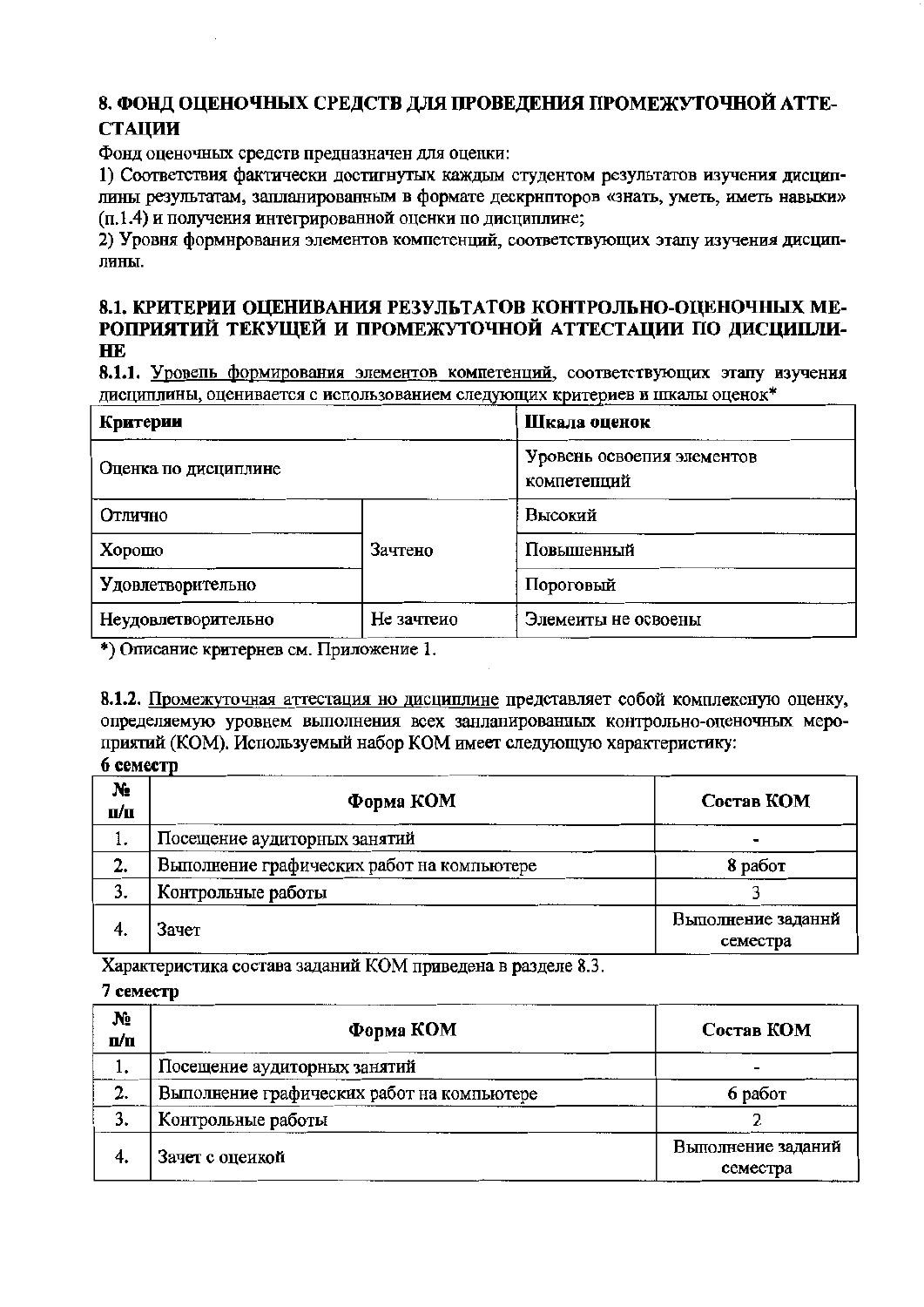## 8. ФОНД ОЦЕНОЧНЫХ СРЕДСТВ ДЛЯ ПРОВЕДЕНИЯ ПРОМЕЖУТОЧНОЙ АТТЕ-**СТАПИИ**

Фонд оценочных средств предназначен для оценки:

1) Соответствия фактически достигнутых каждым студентом результатов изучения дисциплины результатам, запланированным в формате дескрнпторов «знать, уметь, иметь навыки» (п.1.4) и получения интегрированной оценки по диспиплине:

2) Уровня формнрования элементов компетенций, соответствующих этапу изучения дисциплины.

### 8.1. КРИТЕРИИ ОЦЕНИВАНИЯ РЕЗУЛЬТАТОВ КОНТРОЛЬНО-ОЦЕНОЧНЫХ МЕ-РОПРИЯТИЙ ТЕКУЩЕЙ И ПРОМЕЖУТОЧНОЙ АТТЕСТАЦИИ ПО ДИСЦИПЛИ-**HE**

8.1.1. Уровень формирования элементов компетенций, соответствующих этапу изучения дисциплины, оценивается с использованием следующих критериев и шкалы оценок\*

| Критерии             | Шкала оценок                              |                     |  |  |
|----------------------|-------------------------------------------|---------------------|--|--|
| Оценка по дисциплине | Уровень освоения элементов<br>компетепций |                     |  |  |
| Отлично              |                                           | Высокий             |  |  |
| Хорошо               | Зачтено                                   | Повышенный          |  |  |
| Удовлетворительно    |                                           | Пороговый           |  |  |
| Неудовлетворительно  | Не зачтеио                                | Элемеиты не освоены |  |  |

\*) Описание критернев см. Приложение 1.

8.1.2. Промежуточная аттестация но дисциплине представляет собой комплексную оценку, определяемую уровнем выполнения всех занланированных контрольно-оценочных мероприятий (КОМ). Используемый набор КОМ имеет следующую характеристику:

## 6 семестр

| $N_2$<br>п/п | Форма КОМ                                  | Состав КОМ                     |
|--------------|--------------------------------------------|--------------------------------|
| l.           | Посещение аудиторных занятий               |                                |
| 2.           | Выполнение графических работ на компьютере | 8 работ                        |
| 3.           | Контрольные работы                         |                                |
| 4.           | Зачет                                      | Выполнение заданнй<br>семестра |

Характеристика состава заданий КОМ приведена в разделе 8.3.

#### 7 семестр

| N <sub>2</sub><br>n/n | Форма КОМ                                  | Состав КОМ                     |
|-----------------------|--------------------------------------------|--------------------------------|
| ı.                    | Посещение аудиторных занятий               |                                |
| 2.                    | Выполнение графических работ на компьютере | 6 работ                        |
| 3.                    | Контрольные работы                         |                                |
| 4.                    | Зачет с оцеикой                            | Выполнение заданий<br>семестра |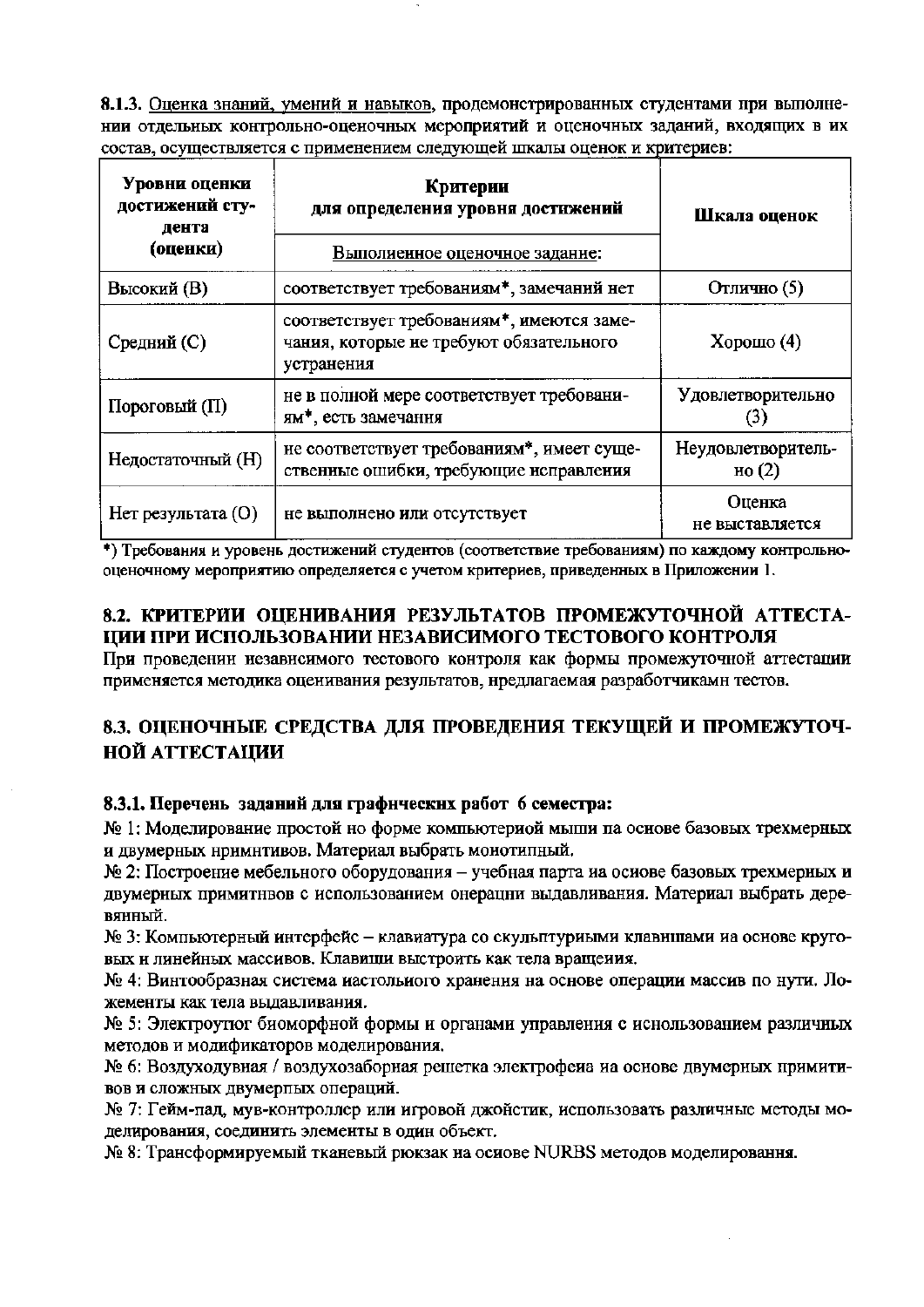8.1.3. Оценка знаний, умений и навыков, продемонстрированных студентами при выполнении отдельных контрольно-оценочных мероприятий и оценочных заданий, входящих в их состав, осуществляется с применением следующей шкалы оценок и критериев:

| Уровни оценки<br>достижений сту-<br>дента<br>(оценки) | Критерии<br>для определения уровня достижений<br>Выполиенное оценочное задание:                    | Шкала оценок                   |  |
|-------------------------------------------------------|----------------------------------------------------------------------------------------------------|--------------------------------|--|
| Высокий (В)                                           | соответствует требованиям*, замечаний нет                                                          | Отлично (5)                    |  |
| Средний (С)                                           | соответствует требованиям*, имеются заме-<br>чания, которые не требуют обязательного<br>устранения | Хорошо $(4)$                   |  |
| Пороговый (П)                                         | не в полной мере соответствует требовани-<br>ям <sup>*</sup> , есть замечання                      | Удовлетворительно              |  |
| Недостаточный (H)                                     | не соответствует требованиям*, имеет суще-<br>ственные ошибки, требующие исправления               | Неудовлетворитель-<br>но $(2)$ |  |
| Нет результата (O)<br>не выполнено или отсутствует    |                                                                                                    | Оценка<br>не выставляется      |  |

\*) Требования и уровень достижений студентов (соответствие требованиям) по каждому контрольнооценочному мероприятию определяется с учетом критериев, приведенных в Приложении 1.

## 8.2. КРИТЕРИИ ОПЕНИВАНИЯ РЕЗУЛЬТАТОВ ПРОМЕЖУТОЧНОЙ АТТЕСТА-ПИИ ПРИ ИСПОЛЬЗОВАНИИ НЕЗАВИСИМОГО ТЕСТОВОГО КОНТРОЛЯ

При проведении независимого тестового контроля как формы промежуточной аттестации применяется методика оценивания результатов, нредлагаемая разработчикамн тестов.

## 8.3. ОЦЕНОЧНЫЕ СРЕДСТВА ДЛЯ ПРОВЕДЕНИЯ ТЕКУЩЕЙ И ПРОМЕЖУТОЧ-**НОЙ АТТЕСТАЦИИ**

## 8.3.1. Перечень заданий для графических работ 6 семестра:

№ 1: Моделирование простой но форме компьютериой мыши па основе базовых трехмерных и двумерных нримнтивов. Материал выбрать монотипный.

№ 2: Построение мебельного оборудования - учебная парта иа осиове базовых трехмерных и двумерных примитнвов с использованием онерацни выдавливания. Материал выбрать деревянный.

№ 3: Компьютерный интерфейс - клавиатура со скульптуриыми клавншами иа основе круговых и линейных массивов. Клавици выстроить как тела вращения.

№ 4: Винтообразная система иастольиого хранення на основе операции массив по нути. Ложементы как тела выдавливания.

№ 5: Электроутют биоморфной формы и органами управления с иснользованием различных методов и модификаторов моделирования.

№ 6: Воздуходувная / воздухозаборная решетка электрофеиа иа основе двумерных примитивов и сложных двумерпых операций.

№ 7: Гейм-пад, мув-контроллер или игровой джойстик, использовать различные методы моделирования, соединить элементы в один объект.

№ 8: Трансформируемый тканевый рюкзак на осиове NURBS методов моделировання.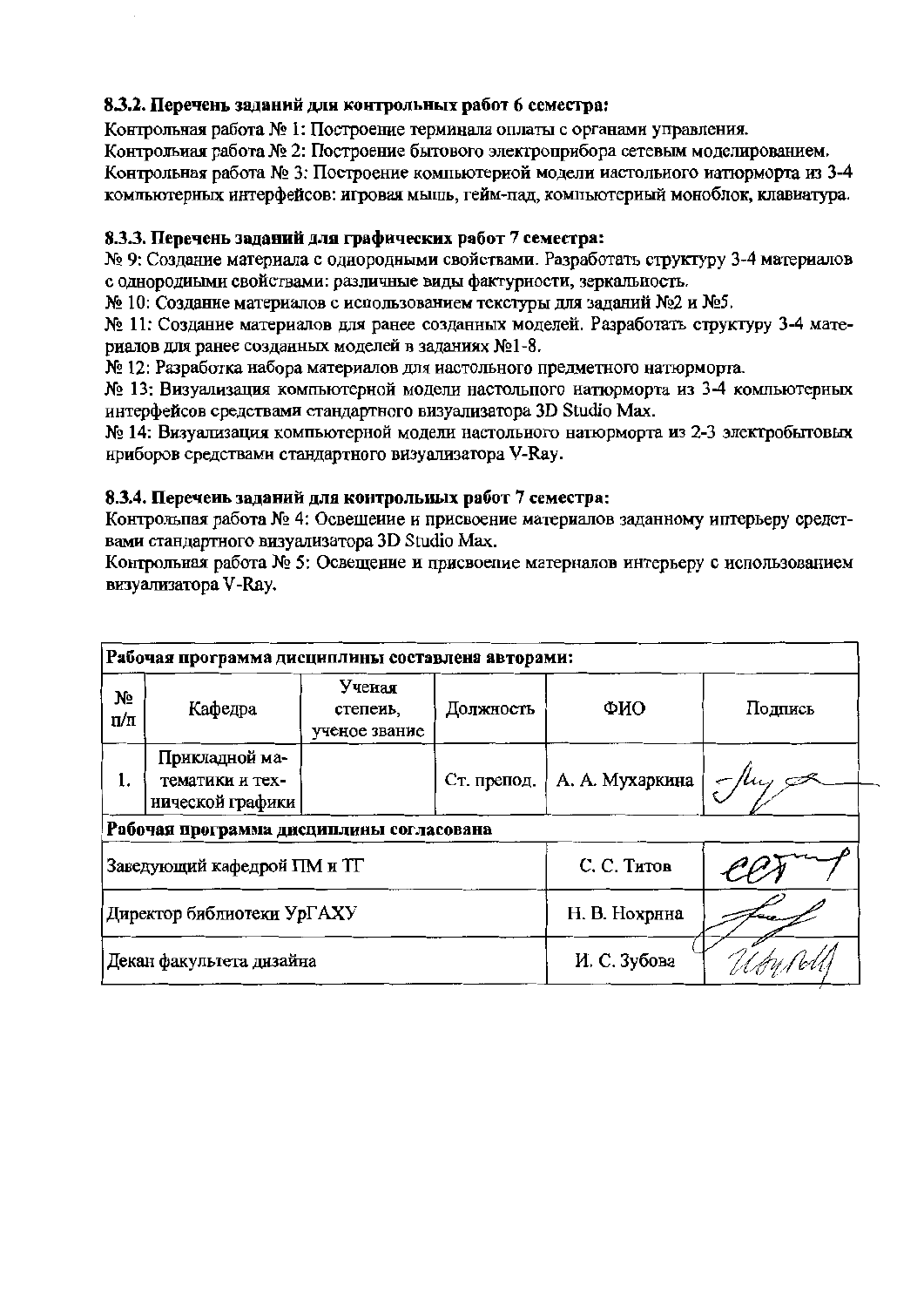## 8.3.2. Перечень заданий для контрольных работ 6 семестра:

Контрольная работа № 1: Построение терминала оплаты с органами управления.

Контрольная работа № 2: Построение бытового электроприбора сетевым моделированием.

Контрольная работа № 3: Построение компьютериой модели иастольного иатюрморта из 3-4 компьютерных интерфейсов: игровая мышь, гейм-пад, компьютерный моноблок, клавиатура.

### 8.3.3. Перечень заданий для графических работ 7 семестра:

№ 9: Создание материала с однородными свойствами. Разработать структуру 3-4 материалов с однородиыми свойствами: различные виды фактурности, зеркальность.

№ 10: Создание материалов с использованием текстуры для заданий №2 и №5.

№ 11: Создание материалов для ранее созданных моделей. Разработать структуру 3-4 материалов для ранее созданных моделей в заданиях №1-8.

№ 12: Разработка набора материалов для настольного предметного натюрморта.

№ 13: Визуализация компьютерной модели настольного натюрморта из 3-4 компьютерных интерфейсов средствами стандартного визуализатора 3D Studio Max.

№ 14: Визуализация компьютерной модели настольного натюрморта из 2-3 электробытовых нриборов средствами стандартного визуализатора V-Ray.

### 8.3.4. Перечень заданий для контрольных работ 7 семестра:

Контрольпая работа № 4: Освещение и присвоение материалов заданному иптерьеру средствами стандартного визуализатора 3D Studio Max.

Контрольная работа № 5: Освещение и присвоепие материалов интерьеру с использованием визуализатора V-Ray.

| Рабочая программа дисциплины составлена авторами: |                                                       |                                     |               |                 |         |  |  |  |
|---------------------------------------------------|-------------------------------------------------------|-------------------------------------|---------------|-----------------|---------|--|--|--|
| No<br>Π/π                                         | Кафедра                                               | Ученая<br>степеиь,<br>ученое звание | Должность     | ФИО             | Подпись |  |  |  |
| ı.                                                | Прикладной ма-<br>тематики и тех-<br>нической графики |                                     | Ст. препод.   | А. А. Мухаркина | $-$ Huy |  |  |  |
| Рабочая программа дисциплины согласована          |                                                       |                                     |               |                 |         |  |  |  |
| Заведующий кафедрой ПМ и ТГ                       |                                                       |                                     | С. С. Титов   |                 |         |  |  |  |
| Директор библиотеки УрГАХУ                        |                                                       |                                     | Н. В. Нохрнна |                 |         |  |  |  |
| Декан факультета дизайна                          |                                                       |                                     | И. С. Зубова  |                 |         |  |  |  |